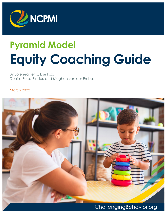

# **Pyramid Model Equity Coaching Guide**

By Jolenea Ferro, Lise Fox, Denise Perez Binder, and Meghan von der Embse

March 2022

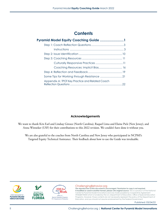### **Contents**

| Pyramid Model Equity Coaching Guide 1           |  |
|-------------------------------------------------|--|
|                                                 |  |
|                                                 |  |
|                                                 |  |
|                                                 |  |
|                                                 |  |
|                                                 |  |
|                                                 |  |
|                                                 |  |
| Appendix A: TPOT Key Practice and Related Coach |  |

#### **Acknowledgements**

We want to thank Kris Earl and Lindsay Giroux (North Carolina), Raquel Lima and Elaine Pick (New Jersey), and Anna Winneker (USF) for their contributions to this 2022 revision. We couldn't have done it without you.

We are also grateful to the coaches from North Carolina and New Jersey who participated in NCPMI's Targeted Equity Technical Assistance. Their feedback about how to use the Guide was invaluable.







#### [ChallengingBehavior.org](http://challengingbehavior.org/)

**The reproduction of this document is encouraged. Permission to copy is not required. If modified or used in another format, please cite original source.** This is a product of the National Center for Pyramid Model Innovations and was made possible by Cooperative Agreement #H326B170003 which is funded by the U.S. Department of Education, Office of Special Education Programs. However, those contents do not necessarily represent the policy of the Department of Education, and you should not assume endorsement by the Federal Government.

Published: 03/24/22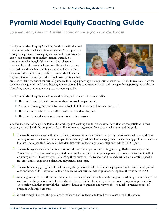# <span id="page-2-0"></span>**Pyramid Model Equity Coaching Guide**

*Jolenea Ferro, Lise Fox, Denise Binder, and Meghan von der Embse* 

The Pyramid Model Equity Coaching Guide is a reflection tool that examines the implementation of Pyramid Model practices through the perspectives of equity and cultural responsiveness. It is not an assessment of implementation; instead, it is meant to provoke thoughtful reflection about classroom practices. It should be used within the collaborative coaching partnership and ongoing coaching activities to identify equity concerns and promote equity within Pyramid Model practice implementation. The tool provides: 1) reflective questions that



are used to identify areas of concern; 2) guidance for using supporting data to prioritize concerns; 3) links to resources, both for each reflective question and for addressing implicit bias; and 4) conversation starters and strategies for supporting the teacher in identifying opportunities to make practices more equitable.

The Pyramid Model Equity Coaching Guide is designed to be used by coaches after:

- $\blacktriangleright$  The coach has established a strong collaborative coaching partnership,
- An initial Teaching Pyramid Observation Tool (TPOT) assessment has been completed,
- The coach and teacher have identified goals and an action plan, and
- The coach has conducted several observations in the classroom.

Coaches may use and adapt The Pyramid Model Equity Coaching Guide in a variety of ways that are compatible with their coaching style and with the program's culture. Here are some suggestions from coaches who have used the guide.

- 1. The coach may review and reflect on all the questions or limit their review to a few key questions related to goals they are working on with the teacher. For example, the coach might address family engagement when coaching goals are focused on families. See Appendix A for a table that identifies which reflection questions align with which TPOT goals.
- $2.$  The coach may review the reflective questions with a teacher as part of a debriefing meeting. Rather than responding "Concerns" or "No concerns," as presented in the guide, the questions may be rephrased to prompt the teacher to reflect on strategies (e.g., "How have you…?"). Using those questions, the teacher and the coach can focus on locating specific resources and creating action plans around potential next steps.
- 3. The coach may engage a group of teachers using the questions to reflect on how the program could ensure the support of each and every child. They may use the No concerns/Concerns format of questions or rephrase them as noted in #2.
- 4. As a program-wide asset, the reflection questions can be used with a teacher on the Program Leadership Team. The teacher could review the questions and reflect on them in terms of either classroom practice or overall program implementation. The coach would then meet with the teacher to discuss each question and ways to foster equitable practices as part of program-wide improvements.
- 5. A teacher might be given the questions to review as a self-reflection, followed by a discussion with the coach.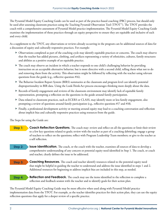The Pyramid Model Equity Coaching Guide can be used as part of the practice-based coaching (PBC) process, but should only be used after assessing classroom practices using the Teaching Pyramid Observation Tool (TPOT™). The TPOT provides the coach with a comprehensive assessment of Pyramid Model practice implementation. The Pyramid Model Equity Coaching Guide examines the implementation of those practices through an equity perspective to ensure they are equitable and inclusive of each and every child.

As a supplement to the TPOT, any observations or reviews already occurring in the program can be additional sources of data for a discussion of equity and culturally responsive practices. For example:

- Observations completed as part of the coaching cycle may identify equitable practices or concerns. The coach may observe that the teacher has added pictures, clothing, and artifacts representing a variety of ethnicities, cultures, family structures and abilities as a positive example of an equitable practice.
- $\triangleright$  The coach may observe an incident in which a teacher responds to one child's challenging behavior by providing instruction on an acceptable alternative behavior, but is more directive with a second child, telling them what not to do and removing them from the activity. This observation might be followed by reflecting with the teacher using relevant questions from the guide (e.g., reflective question #16).
- The Behavior Incident Report System (BIRS) summaries at the classroom and program level can identify potential disproportionality in BIR data. Using the Look-Think-Act process encourages thinking more deeply about the data.
- $\triangleright$  Records of family engagement and reviews of the classroom environment may identify lack of equitable family representation, prompting a reflection on the questions in the guide around family participation.
- Data related to classroom practices, such as ECERS or CLASS, may identify more or less family engagement, also prompting a review of questions around family participation (e.g., reflective questions #17 and #18).
- Finally, a professional development activity or meeting around equity may lead to a coaching conversation and reflection about implicit bias and culturally responsive practices using resources from the guide.

The Steps for using the Guide are:

- **Step 1:** Coach Reflection Questions. The coach may: review and reflect on all the questions or limit their review to a few key questions related to goals; review with the teacher as part of a coaching debriefing; engage a group of teachers to reflect on the questions; reflect with Program Leadership Team members; or give to the teacher as a self reflection.
- **Step 2: Issue Identification.** The coach, or the coach with the teacher, examines all sources of data to develop a comprehensive understanding of any concern or potential equity need identified in Step 1. The coach, or coach and teacher, clearly defines the issue to be addressed.
- **Step 3:** Coaching Resources. The coach and teacher identify resources related to the potential equity need that might be helpful in guiding the teacher to understand and address the issue identified in steps 1 and 2. Additional resources for beginning to address implicit bias are included in this step, as needed.
- **Step 4: Reflection and Feedback.** The coach may use the items identified in the reflection to complete a reflection and feedback session with the teacher and to identify goals for their action plan.

The Pyramid Model Equity Coaching Guide may be most effective when used along with Pyramid Model practice implementation data from the TPOT. For example, as the teacher identifies practices for their action plan, they can use the equity reflection questions that apply for a deeper review of a specific practice.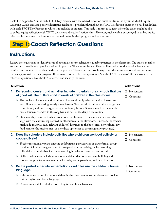<span id="page-4-0"></span>Table 1 in Appendix A links each TPOT Key Practice with the related reflection questions from the Pyramid Model Equity Coaching Guide. Because positive descriptive feedback is prevalent throughout the TPOT, reflection question #6 has been linked with each TPOT Key Practice in which it is included as an item. This table is meant to suggest where the coach might be able to embed equity reflection with TPOT practices and teachers' action plans. However, each coach is encouraged to embed equity reflection in a manner that is most effective and useful in their program and environment.

# **Step 1: Coach Reflection Questions**

### **Instructions**

Review these questions to identify areas of potential concern related to equitable practices in the classroom. The bullets in italics are meant to provide examples for the item in practice. These examples are offered as illustrations of the practice but are not required and are not part of the criteria for the practice. The teacher and coach may have other examples to address the items that are appropriate in their program. If the answer to the reflection question is Yes, check "No concerns." If the answer to the reflection question is No, check "Concerns" and identify the issue.

|    | Question                                                                                                                                                                                                                                                                                                                                                                              | <b>Reflections</b> |
|----|---------------------------------------------------------------------------------------------------------------------------------------------------------------------------------------------------------------------------------------------------------------------------------------------------------------------------------------------------------------------------------------|--------------------|
| 1. | Do learning centers and activities include materials, songs, visuals that are                                                                                                                                                                                                                                                                                                         | No concerns.<br>□  |
|    | aligned with the cultures and interests of children in the classroom?                                                                                                                                                                                                                                                                                                                 | Concerns:<br>ΙI    |
|    | The teacher collaborates with families to locate culturally relevant musical instruments<br>▶<br>for children to use during weekly music lessons. Teacher asks families to share songs that<br>reflect family cultural backgrounds and or family history. Songs learned in the weekly<br>music lessons are added to the song bank as part of the daily circle routine.                |                    |
|    | On a monthly basis the teacher inventories the classroom to ensure materials available<br>▶<br>align with the cultures represented by all children in the classroom. If needed, the teacher<br>might add materials (e.g., relevant children's literature to the book area, new cultural toy<br>food items to the kitchen area, or new dress up clothes to the imaginative play area). |                    |
| 2. | Does the schedule include activities where children work collectively or                                                                                                                                                                                                                                                                                                              | No concerns.       |
|    | cooperatively?                                                                                                                                                                                                                                                                                                                                                                        | Concerns:          |
|    | > Teacher intentionally plans ongoing collaborative play activities as part of small group<br>rotations. Children are given specific group tasks in the activity, such as working<br>collectivity to build a block castle or working in pairs to create partner portraits.                                                                                                            |                    |
|    | Daily schedule may include gross motor activities that focus on team building and<br>▶<br>cooperative play, including games such as relay races, parachute, and bean bag toss.                                                                                                                                                                                                        |                    |
| 3. | Do the posted schedule, expectations, and rules use the children's home                                                                                                                                                                                                                                                                                                               | No concerns.       |
|    | language?                                                                                                                                                                                                                                                                                                                                                                             | Concerns:          |
|    | Rule poster contains pictures of children in the classroom following the rules as well as<br>text in English and home languages.                                                                                                                                                                                                                                                      |                    |
|    | Classroom schedule includes text in English and home languages.                                                                                                                                                                                                                                                                                                                       |                    |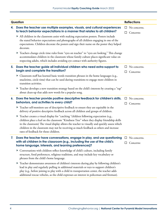|    | Question                                                                                                                                                                                                                                                                                                                                                                                                                    |         |                                                 |
|----|-----------------------------------------------------------------------------------------------------------------------------------------------------------------------------------------------------------------------------------------------------------------------------------------------------------------------------------------------------------------------------------------------------------------------------|---------|-------------------------------------------------|
| 4. | Does the teacher use multiple examples, visuals, and cultural experiences<br>to teach behavior expectations in a manner that relates to all children?                                                                                                                                                                                                                                                                       | ப<br>ш  | <b>Reflections</b><br>No concerns.<br>Concerns: |
|    | All children in the classroom assist with making expectation posters. Posters include<br>the stated behavior expectations and photographs of all children engaging in one of the<br>expectations. Children decorate the posters and sign their name on the poster they helped<br>decorate.                                                                                                                                  |         |                                                 |
|    | > Teachers change circle time rules from "eyes on teacher" to "eyes are looking." This change<br>accommodates children in the classroom whose family culture places significant value on<br>respecting adults, which includes avoiding eye contact with authority figures.                                                                                                                                                  |         |                                                 |
| 5. | Does the teacher guide all individual children who need extra support to<br>begin and complete the transition?                                                                                                                                                                                                                                                                                                              | ப<br>ш  | No concerns.<br>Concerns:                       |
|    | > Classroom staff has learned basic words transition phrases in the home languages (e.g.,<br>snacktime, circle time) that can be used during transitions to engage more children in<br>transition activities.                                                                                                                                                                                                               |         |                                                 |
|    | Teacher develops a new transition strategy based on the child's interests by creating a "rap"<br>▶<br>about clean-up that adds new words for a popular song.                                                                                                                                                                                                                                                                |         |                                                 |
| 6. | Does the teacher provide positive descriptive feedback for children's skills,<br>behaviors, and activities to every child?                                                                                                                                                                                                                                                                                                  | ⊔<br>ΙI | No concerns.<br>Concerns:                       |
|    | Teacher self-monitors use of descriptive feedback to ensure they are equitable in the<br>▶<br>delivery of positive descriptive feedback across all children and groups of children.                                                                                                                                                                                                                                         |         |                                                 |
|    | Teacher creates a visual display for "catching "children following expectation (e.g.,<br>▶<br>children place a leaf on the classroom "Kindness Tree" when they display friendship skills<br>in the classroom) The visual display allows the teacher to visually and quickly assess which<br>children in the classroom may not be receiving as much feedback as others and increase<br>rates of feedback for those children. |         |                                                 |
| 7. | Does the teacher have conversations, engage in play, and use questioning $\Box$ No concerns.<br>with all children in the classroom (e.g., including the use of the child's                                                                                                                                                                                                                                                  |         |                                                 |
|    | home language, interests, and learning preferences)?                                                                                                                                                                                                                                                                                                                                                                        |         | Concerns:                                       |
|    | ▶ Conversations with children reflect knowledge of child's culture, including family<br>structure, food preferences, religious traditions, and may include key vocabulary or<br>phrases from the child's home language.                                                                                                                                                                                                     |         |                                                 |
|    | > Teacher demonstrates awareness of children's interests during play by following children's<br>lead in play and regularly pulling in additional materials or toys to support children's<br>play (e.g., before joining to play with a child in transportation center, the teacher adds<br>additional rescue vehicles, as the child expresses an interest in policeman and fireman).                                         |         |                                                 |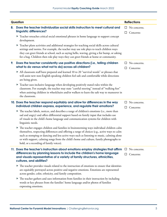| Question |                                                                                                                                                                                                                                                                                                                                                                                                                                                     |        | <b>Reflections</b>               |
|----------|-----------------------------------------------------------------------------------------------------------------------------------------------------------------------------------------------------------------------------------------------------------------------------------------------------------------------------------------------------------------------------------------------------------------------------------------------------|--------|----------------------------------|
| 8.       | Does the teacher individualize social skills instruction to meet cultural and                                                                                                                                                                                                                                                                                                                                                                       | ப      | No concerns.                     |
|          | linguistic differences?                                                                                                                                                                                                                                                                                                                                                                                                                             | ப      | Concerns:                        |
|          | Teacher reteaches critical social emotional phrases in home language to support concept<br>development.                                                                                                                                                                                                                                                                                                                                             |        |                                  |
|          | Feacher plans activities and additional strategies for teaching social skills across cultural<br>settings and norms. For example, the teacher may use role plays to teach children ways<br>they can greet friends at school, such as saying hello, waving, giving a fist bump, or asking<br>for a hug. Children then role play ways they can greet friends at home or community.                                                                    |        |                                  |
| 9.       | Does the teacher consistently use positive directions (i.e., telling children<br>what to do versus what not to do) across all children?                                                                                                                                                                                                                                                                                                             | ப      | No concerns.<br>Concerns:        |
|          | All classroom staff have prepared and learned 10 to 20 "survival words" or phrases that<br>will assist new non-English speaking children feel safe and comfortable while directions<br>are being given.                                                                                                                                                                                                                                             |        |                                  |
|          | > Teacher uses inclusive language when developing positively stated rules within the<br>classroom. For example, the teacher may state "careful steering" instead of "walking feet"<br>when assisting children in wheelchairs and/or walkers to learn the safe way to maneuver in<br>the classroom.                                                                                                                                                  |        |                                  |
|          | 10. Does the teacher respond equitably and allow for differences in the way                                                                                                                                                                                                                                                                                                                                                                         |        | No concerns.                     |
|          | individual children express, experience, and regulate their emotions?                                                                                                                                                                                                                                                                                                                                                                               | ш      | Concerns:                        |
|          | The teacher labels, notices, and describes a range of children's emotions (i.e., more than<br>sad and angry) and offers differential support based on family input that includes use<br>of visuals in the child's home language and communication systems for children with<br>linguistic needs.                                                                                                                                                    |        |                                  |
|          | $\blacktriangleright$ The teacher engages children and families in brainstorming ways individual children calm<br>themselves, respecting differences and offering a range of choices (e.g., active ways to calm<br>such as stomping or dancing and less active ways such as listening to music, calming alone<br>or with support, calming songs from the child's home and culture, family photographs to<br>hold, or a recording of family voices). |        |                                  |
|          | 11. Does the teacher's instruction about emotions employ strategies that affirm<br>differences by planning lessons to include the children's home language<br>and visuals representative of a variety of family structures, ethnicities,<br>cultures, and abilities?                                                                                                                                                                                | $\Box$ | $\Box$ No concerns.<br>Concerns: |
|          | $\blacktriangleright$ The teacher provides visuals related to the instruction of emotions to ensure that identities<br>are equitably portrayed across positive and negative emotions. Emotions are represented<br>across gender, color, ethnicity, and family composition.                                                                                                                                                                          |        |                                  |
|          | The teacher gathers and uses information from families in their instruction by including<br>▶<br>words or key phrases from the families' home language and/or photos of families<br>expressing emotions.                                                                                                                                                                                                                                            |        |                                  |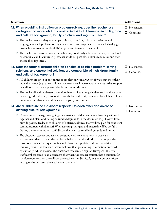| <b>Reflections</b><br>Question                                                                                                                                                                                                                                                                                                                                                                                                                                                                                                                                                                                                                                                                |                  |                           |
|-----------------------------------------------------------------------------------------------------------------------------------------------------------------------------------------------------------------------------------------------------------------------------------------------------------------------------------------------------------------------------------------------------------------------------------------------------------------------------------------------------------------------------------------------------------------------------------------------------------------------------------------------------------------------------------------------|------------------|---------------------------|
|                                                                                                                                                                                                                                                                                                                                                                                                                                                                                                                                                                                                                                                                                               |                  |                           |
| 12. When providing instruction on problem-solving, does the teacher use<br>strategies and materials that consider individual differences in ability, race<br>and cultural background, family structure, and linguistic needs?                                                                                                                                                                                                                                                                                                                                                                                                                                                                 | $\Box$<br>$\Box$ | No concerns.<br>Concerns: |
| The teacher uses a variety of examples, visuals, materials, cultural experiences and<br>languages to teach problem solving in a manner that is representative of each child (e.g.,<br>diverse books, solution cards, dolls/puppets, and translated materials)                                                                                                                                                                                                                                                                                                                                                                                                                                 |                  |                           |
| The teacher has conversations with each family to identify solutions that may be used and<br>relevant in a child's culture (e.g., teacher sends out possible solutions to families and they<br>choose their top three).                                                                                                                                                                                                                                                                                                                                                                                                                                                                       |                  |                           |
| 13. Does the teacher respect children's choice of possible problem-solving<br>solutions, and ensure that solutions are compatible with children's family<br>and cultural backgrounds?                                                                                                                                                                                                                                                                                                                                                                                                                                                                                                         |                  | No concerns.<br>Concerns: |
| All children are given opportunities to problem-solve in a variety of ways that meet their<br>individual needs (e.g., some children may need visual representations versus verbal support<br>or additional practice opportunities during non-crisis times).                                                                                                                                                                                                                                                                                                                                                                                                                                   |                  |                           |
| The teacher directly addresses uncomfortable conflicts among children such as those based<br>on race, gender, diversity, economic class, ability, and family structure, by helping children<br>understand similarities and differences, empathy, and fairness.                                                                                                                                                                                                                                                                                                                                                                                                                                |                  |                           |
| 14. Are all adults in the classroom respectful to each other and aware of<br>differing cultural backgrounds?                                                                                                                                                                                                                                                                                                                                                                                                                                                                                                                                                                                  | ப<br>$\Box$      | No concerns.<br>Concerns: |
| > Classroom staff engage in ongoing conversations and dialogue about how they will work<br>together and plan for differing cultural backgrounds in the classroom (e.g., How will we<br>provide positive feedback to children of different cultures? How will we plan for consistent<br>communication with families? What teaching strategies and materials will be useful?).<br>During these conversations, staff discuss their own cultural backgrounds and norms.                                                                                                                                                                                                                           |                  |                           |
| The classroom teacher and teacher assistant work collaboratively to create an<br>▶<br>environment that balances their cultural beliefs around authority. For example, the<br>classroom teacher finds questioning and discourse a positive indicator of critical<br>thinking, while the teacher assistant believes that questioning information provided<br>by authority, which includes the classroom teacher, is a sign of disrespect. The two<br>staff members come to an agreement that when the teacher assistant has a question for<br>the classroom teacher, she will ask the teacher after dismissal, in a one-on-one private<br>setting or she will send the teacher a text or email. |                  |                           |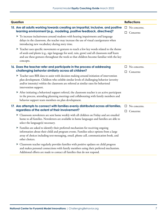| Question                                                                                                                                                                                                                                                                                             | <b>Reflections</b>                       |
|------------------------------------------------------------------------------------------------------------------------------------------------------------------------------------------------------------------------------------------------------------------------------------------------------|------------------------------------------|
| 15. Are all adults working towards creating an impartial, inclusive, and positive                                                                                                                                                                                                                    | $\Box$ No concerns.                      |
| learning environment (e.g., modeling, positive feedback, directives)?<br>To increase inclusiveness around students with hearing impairments and language<br>delays in the classroom, the teacher may increase the use of visual cues/gestures when<br>introducing new vocabulary during story time.  | Concerns:<br>Ш                           |
| ▶ Teacher uses specific movements or gestures to teach a few key words related to the theme<br>of seeds and plants (e.g., sign language for seed, rain, grow) and all classroom staff learn<br>and use these gestures throughout the week so that children become familiar with the key<br>concepts. |                                          |
| 16. Does the teacher refer and participate in the process of addressing<br>challenging behavior similarly across all children?                                                                                                                                                                       | No concerns.<br>ப<br>Concerns:<br>$\Box$ |
| ▶ Teacher uses BIR data to assist with decision making around initiation of intervention<br>plan development. Children who exhibit similar levels of challenging behavior (severity<br>and/or intensity) within the classroom are referred at similar rates for behavioral<br>intervention support.  |                                          |
| After initiating a behavioral support referral, the classroom teacher is an active participant<br>in the process, attending planning meetings and collaborating with family members and<br>behavior support team members on plan development.                                                        |                                          |
| 17. Are attempts to connect with families evenly distributed across all families,<br>regardless of the extent of their involvement?                                                                                                                                                                  | $\Box$ No concerns.<br>Concerns:<br>ப    |
| Classroom newsletters are sent home weekly with all children on Friday and are emailed<br>home to all families. Newsletters are available in home languages and families are able to<br>select the language(s) necessary.                                                                            |                                          |
| Families are asked to identify their preferred mechanism for receiving ongoing<br>information about their child and program events. Families select options from a large<br>array of choices including text-messaging, email, phone call, communication book, and<br>other choices.                  |                                          |
| • Classroom teacher regularly provides families with positive updates on child progress<br>and makes personal connections with family members using their preferred mechanism.<br>Additional efforts are made to contact all families that do not respond.                                           |                                          |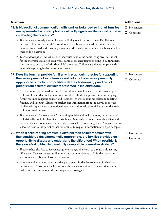| Question                                                                                                                                                                                                                                                                                                                                                                                                                                                                                       | <b>Reflections</b>                      |
|------------------------------------------------------------------------------------------------------------------------------------------------------------------------------------------------------------------------------------------------------------------------------------------------------------------------------------------------------------------------------------------------------------------------------------------------------------------------------------------------|-----------------------------------------|
| 18. Is bidirectional communication with families balanced so that all families<br>are represented in posted photos, culturally significant items, and activities<br>celebrating their diversity?                                                                                                                                                                                                                                                                                               | $\Box$ No concerns.<br>□<br>Concerns:   |
| ▶ Teacher creates weekly sign-up for special Friday snack and story time. Families send<br>in their child's favorite family/cultural food and a book to be read during snack time.<br>Families are invited and encouraged to attend the snack time and read the book aloud in<br>their child's classroom.                                                                                                                                                                                      |                                         |
| ▶ Teacher develops an "All About Me" showcase next to the home living area. A student<br>for the showcase is selected each week. Families are encouraged to bring in cultural items<br>from home to add to the "All About Me" showcase. Children are allowed to play with<br>items while playing in the home living center.                                                                                                                                                                    |                                         |
| 19. Does the teacher provide families with practical strategies for supporting<br>the development of social/emotional skills that are developmentally<br>appropriate and also compatible with the child-rearing practices of<br>parents from different cultures represented in the classroom?                                                                                                                                                                                                  | No concerns.<br>ப<br>Concerns:<br>ப     |
| All parents are encouraged to complete a child-rearing/child care routine survey upon<br>child enrollment that includes information about child's temperament, home language,<br>family routines, religious holiday and traditions, as well as routines related to toileting,<br>feeding, and sleeping. Classroom teacher uses information from the survey to provide<br>families with specific social/emotional resources and to help the child adjust to the early<br>childhood environment. |                                         |
| Teacher creates a "parent corner" containing social emotional handouts, resources, and<br>▶<br>child-friendly books for families to take home. Materials are rotated monthly, align with<br>topics in the classroom curriculum, and are available in home languages. A suggestion box<br>is located next to the parent corner for families to request information on a specific topic.                                                                                                         |                                         |
| 20. When a child-rearing practice is different than or incompatible with<br>that considered developmentally appropriate, are families provided an<br>opportunity to discuss and understand the difference? When possible, is<br>there an effort to identify a mutually compatible alternative strategy?                                                                                                                                                                                        | $\Box$ No concerns.<br>$\Box$ Concerns: |
| > Teacher schedules face-to-face meetings or arranges phone call to discuss child-rearing<br>differences. Teacher invites families into classroom to observe child in the classroom<br>environment to observe classroom strategies.                                                                                                                                                                                                                                                            |                                         |
| Family members are included as active participants in the development of behavioral<br>interventions. Classroom teacher meets with parents to review the intervention plan to<br>make sure they understand the techniques and strategies                                                                                                                                                                                                                                                       |                                         |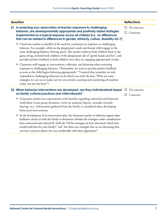|  | <b>Reflections</b><br>Question |                                                                                                                                                                                                                                                                                                                                                                                                                                                                                  |              |                           |
|--|--------------------------------|----------------------------------------------------------------------------------------------------------------------------------------------------------------------------------------------------------------------------------------------------------------------------------------------------------------------------------------------------------------------------------------------------------------------------------------------------------------------------------|--------------|---------------------------|
|  |                                | 21. In analyzing your observation of teacher responses to challenging<br>behavior, are developmentally appropriate and positively stated strategies<br>implemented as a typical response across all children (i.e., no differences<br>that can be related to differences in gender, ethnicity, culture, disability etc.?)                                                                                                                                                        | П.           | No concerns.<br>Concerns: |
|  |                                | • Classroom teacher is mindful of the need for consistency in responses to challenging<br>behavior. For example, while on the playground a male and female child engage in the<br>same challenging behavior (hitting peers). The teacher redirects both children back to the<br>game of tag, reminds both children of the playground rule of "gentle hands and feet", and<br>provides positive feedback to both children once they are engaging appropriately in play.           |              |                           |
|  | ▶                              | Classroom staff engage in conversations, reflection, and planning when reviewing<br>responses to challenging behavior. ("Remember, we want to provide positive feedback<br>as soon as the child begins behaving appropriately." "I noticed that yesterday we only<br>responded to challenging behaviors in the block area with the boys. What are some<br>strategies we can use to make sure we are actively scanning and monitoring all students<br>today, not just the boys?") |              |                           |
|  |                                | 22. When behavior interventions are developed, are they individualized based<br>on family cultural practices and child interests?                                                                                                                                                                                                                                                                                                                                                | $\perp$<br>ப | No concerns.<br>Concerns: |
|  | ▶                              | Classroom teacher has conversations with families regarding cultural/social behaviors<br>(individual versus group dynamics, views on authority figures, attitudes towards<br>sharing, etc.). Information gathered from the family is considered when developing<br>behavioral interventions.                                                                                                                                                                                     |              |                           |
|  |                                | In the development of an intervention plan, the classroom teacher or behavior support plan<br>facilitator checks in with the family to determine whether the strategies under consideration<br>have contextual and cultural fit. Staff ask "Of the strategies we have discussed, which ones<br>would work best for your family?" and "Are there any strategies that we are discussing that<br>you have concerns about? Are you comfortable with these approaches?"               |              |                           |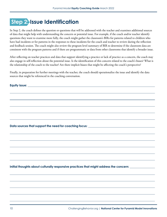# <span id="page-11-0"></span> **Step 2: Issue Identification**

In Step 2, the coach defines the question or questions that will be addressed with the teacher and examines additional sources of data that might help with understanding the concern or potential issue. For example, if the coach and/or teacher identify questions they want to examine more fully, the coach might gather the classroom's BIRs for patterns related to children who have had incidents or for patterns in the responses to these incidents for the coach and teacher to review during the reflection and feedback session. The coach might also review the program level summary of BIR to determine if the classroom data are consistent with the program patterns and if there are programmatic or data from other classrooms that identify a broader issue.

After reflecting on teacher practices and data that support identifying a practice or lack of practice as a concern, the coach may also engage in self-reflection about the potential issue. Is the identification of this concern related to the coach's biases? What is the relationship of the coach to the teacher? Are there implicit biases that might be affecting the coach's perspective?

Finally, in preparation for further meetings with the teacher, the coach should operationalize the issue and identify the data sources that might be referenced in the coaching conversation.

**Equity issue:** 

**Data sources that support the need for coaching focus:** 

**Initial thoughts about culturally responsive practices that might address the concern:**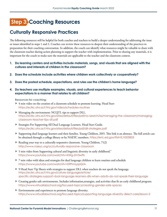# <span id="page-12-0"></span> **Step 3: Coaching Resources**

### **Culturally Responsive Practices**

The following resources will be helpful for both coaches and teachers to build a deeper understanding for addressing the issue or issues identified in steps 1 and 2. Coaches can review these resources to deepen their understanding of the practices in preparation for their coaching conversation. In addition, the coach can identify what resources might be valuable to share with the classroom teacher during action planning to support the teacher with implementation. Prior to sharing any materials, it is important for the coach to make sure the materials are applicable to the teacher and the classroom context.

- **1. Do learning centers and activities include materials, songs, and visuals that are aligned with the cultures and interests of children in the classroom?**
- **2. Does the schedule include activities where children work collectively or cooperatively?**
- **3. Does the posted schedule, expectations, and rules use the children's home language?**
- **4. Do teachers use multiple examples, visuals, and cultural experiences to teach behavior expectations in a manner that relates to all children?**

**Resources for coaching:**

- ▶ 4 min video on the creation of a classroom schedule to promote learning. Head Start <https://eclkc.ohs.acf.hhs.gov/video/schedules-routines>
- Managing the environment: NCQTL tips to support DLL. [https://eclkc.ohs.acf.hhs.gov/sites/default/files/pdf/no-search/iss/managing-the-classroom/managing](https://eclkc.ohs.acf.hhs.gov/sites/default/files/pdf/no-search/iss/managing-the-classroom/managing-classroom-teacher-tips-dll.pdf)[classroom-teacher-tips-dll.pdf](https://eclkc.ohs.acf.hhs.gov/sites/default/files/pdf/no-search/iss/managing-the-classroom/managing-classroom-teacher-tips-dll.pdf)
- Strategies For Supporting All Dual Language Learners. Head Start Guide. <https://eclkc.ohs.acf.hhs.gov/sites/default/files/pdf/dll-strategies.pdf>
- Supporting dual language learners and their families. Young Children, 2015. This link is an abstract. The full article can be obtained through a college library or by NAEYC members. <https://eric.ed.gov/?id=EJ1003853>
- Reading your way to a culturally responsive classroom. Young Children,  $71(2)$ <http://www.naeyc.org/yc/culturally-responsive-classroom>
- 5 min video from Supporting cultural and linguistic diversity in early childhood." <https://www.youtube.com/watch?v=XWg-ZrV3wPk>
- ▶ 7 min video with ideas and strategies for dual language children to learn routines and schedule <https://www.youtube.com/watch?v=09PrmLppQ1A>
- 9 Head Start Tip Sheets with strategies to support DLL when teachers do not speak the language. [https://eclkc.ohs.acf.hhs.gov/culture-language/article/](https://eclkc.ohs.acf.hhs.gov/culture-language/article/specific-strategies-support-dual-language-learners-dlls-when-adults-do-not-speak-their-language) [specific-strategies-support-dual-language-learners-dlls-when-adults-do-not-speak-their-language](https://eclkc.ohs.acf.hhs.gov/culture-language/article/specific-strategies-support-dual-language-learners-dlls-when-adults-do-not-speak-their-language)
- Creating gender safe environments. Includes information,strategies, and activities that fit an early childhood program. <https://www.virtuallabschool.org/focused-topics/creating-gender-safe-spaces>
- Environments and experiences to promote language diversity. <https://www.virtuallabschool.org/focused-topics/supporting-language-diversity-direct-care/lesson-2>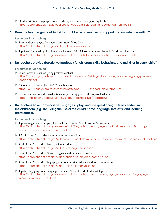Head Start Dual Language Toolkit – Multiple resources for supporting DLL <https://eclkc.ohs.acf.hhs.gov/culture-language/article/dual-language-learners-toolkit>

#### **5. Does the teacher guide all individual children who need extra support to complete a transition?**

**Resources for coaching:**

- ▶ 4 min video: strategies for smooth transitions. Head Start <https://eclkc.ohs.acf.hhs.gov/video/classroom-transitions>
- Tip Sheet: Supporting Dual Language Learners With Classrooms Schedules and Transitions. Head Start <https://eclkc.ohs.acf.hhs.gov/sites/default/files/pdf/dll-classroom-schedules-transitions.pdf>

#### **6. Do teachers provide descriptive feedback for children's skills, behaviors, and activities to every child?**

**Resources for coaching** 

- Some starter phrases for giving positive feedback [https://challengingbehavior.cbcs.usf.edu/docs/ToolsBuildingRelationships\\_starters-for-giving-positive](https://challengingbehavior.cbcs.usf.edu/docs/ToolsBuildingRelationships_starters-for-giving-positive-feedback.pdf)[feedback.pdf](https://challengingbehavior.cbcs.usf.edu/docs/ToolsBuildingRelationships_starters-for-giving-positive-feedback.pdf)
- Alternatives to "Good Job" NAEYC publication. <https://www.naeyc.org/resources/pubs/tyc/oct2013/10x-good-job-alternatives>
- Recommendations and considerations for providing positive descriptive feedback. <https://challengingbehavior.cbcs.usf.edu/docs/positive-feedback.pdf>

#### **7. Do teachers have conversations, engage in play, and use questioning with all children in the classroom (e.g., including the use of the child's home language, interests, and learning preferences)?**

**Resources for coaching**

- Tips (strategies and examples) for Teachers: How to Make Learning Meaningful. [https://eclkc.ohs.acf.hhs.gov/sites/default/files/pdf/no-search/iss/engaging-interactions-2/making](https://eclkc.ohs.acf.hhs.gov/sites/default/files/pdf/no-search/iss/engaging-interactions-2/making-learning-meaningful-teacher-tips.pdf)[learning-meaningful-teacher-tips.pdf](https://eclkc.ohs.acf.hhs.gov/sites/default/files/pdf/no-search/iss/engaging-interactions-2/making-learning-meaningful-teacher-tips.pdf)
- ▶ 4.5 min Head Start video about responsive interactions <https://eclkc.ohs.acf.hhs.gov/video/early-essentials-webisode-8-practice-moment-responsive-interactions>
- ▶ 4 min Head Start video: Fostering Connections <https://eclkc.ohs.acf.hhs.gov/video/fostering-connections>
- 5 min Head Start video: Ways to engage children in conversations <https://eclkc.ohs.acf.hhs.gov/video/engaging-children-conversations>
- 4 min Head Start video: Engaging children in extended back and forth conversations <https://eclkc.ohs.acf.hhs.gov/video/thick-thin-conversations>
- Tips for Engaging Dual Language Learners: NCQTL and Head Start Tip Sheet [https://eclkc.ohs.acf.hhs.gov/sites/default/files/pdf/no-search/iss/engaging-interactions/engaging](https://eclkc.ohs.acf.hhs.gov/sites/default/files/pdf/no-search/iss/engaging-interactions/engaging-interactions-teach-tips-dll.pdf)[interactions-teach-tips-dll.pdf](https://eclkc.ohs.acf.hhs.gov/sites/default/files/pdf/no-search/iss/engaging-interactions/engaging-interactions-teach-tips-dll.pdf)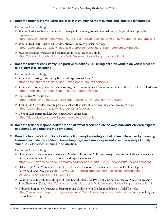#### **8. Does the teacher individualize social skills instruction to meet cultural and linguistic differences?**

#### **Resources for coaching**

▶ 41 min Head Start Teacher Time video: Strategies for teaching social emotional skills to help children cope with "big emotions."

<https://eclkc.ohs.acf.hhs.gov/video/help-me-calm-down-teaching-children-how-cope-their-big-emotions>

- ▶ 54 min Head Start Teacher Time video: Strategies to teach problem solving. <https://eclkc.ohs.acf.hhs.gov/video/its-big-problem-teaching-children-problem-solving-skills>
- NCPMI resources (materials and solution kit) for social emotional skills. <https://challengingbehavior.cbcs.usf.edu/Implementation/Program/strategies.html>

#### **9. Does the teacher consistently use positive directions (i.e., telling children what to do versus what not to do) across all children?**

#### **Resources for coaching**

- 4 min video: Stating and creating behavioral expectations. Head Start <https://eclkc.ohs.acf.hhs.gov/video/stating-behavioral-expectations>
- ▶ 4 min video: Five steps teachers can follow to generate meaningful classroom rules and teach them to children. Head Start <https://eclkc.ohs.acf.hhs.gov/video/creating-classroom-rules>
- ▶ Use Positive Words tip sheet [https://challengingbehavior.cbcs.usf.edu/docs/ttyc/TTYC\\_UsePositiveWords.pdf](https://challengingbehavior.cbcs.usf.edu/docs/ttyc/TTYC_UsePositiveWords.pdf)
- 4 min Head Start video: How to provide feedback that helps children's learning and encourages effort. <https://eclkc.ohs.acf.hhs.gov/video/providing-feedback>
- ▶ 1.5 hour IRIS center module; Developing and teaching rules <https://iris.peabody.vanderbilt.edu/module/ecbm/#content>
- **10. Does the teacher respond equitably and allow for differences in the way individual children express, experience, and regulate their emotions?**

#### **11. Does the teacher's instruction about emotions employ strategies that affirm differences by planning lessons to include the children's home language and visuals representative of a variety of family structures, ethnicities, cultures, and abilities?**

**Resources for coaching**

- How culture shapes emotions. Interview of Marianna Pogosyan, Ph.D. Psychology Today. Research shows cross-cultural differences in the way children experience and express emotions. <https://www.psychologytoday.com/us/blog/between-cultures/201803/how-culture-shapes-emotions>
- Halberstadt, A. G. & Lozada, F. T. (2011). Culture and Emotions in the first 5 to 6 years of life. Encyclopedia of Early Childhood Development. [https://www.child-encyclopedia.com/emotions/according-experts/](https://www.child-encyclopedia.com/emotions/according-experts/culture-and-emotions-first-5-6-years-life) [culture-and-emotions-first-5-6-years-life](https://www.child-encyclopedia.com/emotions/according-experts/culture-and-emotions-first-5-6-years-life)
- Feelings Faces, English, English-Spanish, and English-Blank. NCPMI, Implementation, Practical Strategies-Teaching Social-Emotional Skills. <https://challengingbehavior.cbcs.usf.edu/Implementation/Program/strategies.html>
- Culturally Responsive Strategies to Support Young Children with Challenging Behavior. NAEYC article. <https://www.naeyc.org/resources/pubs/yc/nov2016/culturally-responsive-strategies> (section on teaching and developing empathy)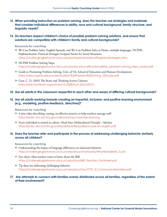- **12. When providing instruction on problem-solving, does the teacher use strategies and materials that consider individual differences in ability, race and cultural background, family structure, and linguistic needs?**
- **13. Do teachers respect children's choice of possible problem-solving solutions, and ensure that solutions are compatible with children's family and cultural backgrounds?**

**Resources for coaching**

- We Can Problem Solve, English-Spanish, and We Can Problem Solve at Home, multiple languages. NCPMI, Implementation, Practical Strategies-Scripted Stories for Social Situations. <https://challengingbehavior.cbcs.usf.edu/Implementation/Program/strategies.html>
- $\blacktriangleright$  NCPMI Problem Solving Steps. [https://challengingbehavior.cbcs.usf.edu/docs/SocialEmotionalSkills\\_problem-solving-steps\\_poster.pdf](https://challengingbehavior.cbcs.usf.edu/docs/SocialEmotionalSkills_problem-solving-steps_poster.pdf)
- Guide to Promoting Problem-Solving, Univ. of VA, School of Education and Human Development. [https://vkrp.virginia.edu/content/pdfs/6.%20Problem%20Solving\\_SSGuide.pdf](https://vkrp.virginia.edu/content/pdfs/6.%20Problem%20Solving_SSGuide.pdf)
- Guss, C. D. (2015) The Brain and Thinking Across Cultures: <https://kids.frontiersin.org/articles/10.3389/frym.2015.00012>

#### **14. Are all adults in the classroom respectful to each other and aware of differing cultural backgrounds?**

#### **15. Are all adults working towards creating an impartial, inclusive, and positive learning environment (e.g., modeling, positive feedback, directives)?**

**Resources for coaching**

- ▶ 4 min video describing, zoning, an effective practice to help teachers manage staff. <https://eclkc.ohs.acf.hhs.gov/video/zoning-maximize-learning>
- Every individual is rooted in culture. Head Start Multicultural Principle Identity <https://eclkc.ohs.acf.hhs.gov/sites/default/files/pdf/principle-01-english.pdf>

#### **16. Does the teacher refer and participate in the process of addressing challenging behavior similarly across all children?**

**Resources for coaching**

- Understanding the impact of language differences on classroom behavior. [https://challengingbehavior.cbcs.usf.edu/docs/whatworks/WhatWorksBrief\\_2.pdf](https://challengingbehavior.cbcs.usf.edu/docs/whatworks/WhatWorksBrief_2.pdf)
- Fact sheet: what teachers want to know about the BIR [https://challengingbehavior.cbcs.usf.edu/docs/BIR\\_Teacher\\_Factsheet.pdf](https://challengingbehavior.cbcs.usf.edu/docs/BIR_Teacher_Factsheet.pdf)
- Tip sheet for addressing challenging behavior [https://challengingbehavior.cbcs.usf.edu/docs/ttyc/TTYC\\_B\\_CommunicationIsKey.pdf](https://challengingbehavior.cbcs.usf.edu/docs/ttyc/TTYC_B_CommunicationIsKey.pdf)

#### **17. Are attempts to connect with families evenly distributed across all families, regardless of the extent of their involvement?**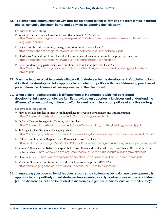#### **18. Is bidirectional communication with families balanced so that all families are represented in posted photos, culturally significant items, and activities celebrating their diversity?**

#### **Resources for coaching**

- What parents have to teach us about their DL children. NAEYC article. [https://www.naeyc.org/resources/pubs/yc/nov2015/what-parents-have-teach-us-about-their-dual](https://www.naeyc.org/resources/pubs/yc/nov2015/what-parents-have-teach-us-about-their-dual-language-children)[language-children](https://www.naeyc.org/resources/pubs/yc/nov2015/what-parents-have-teach-us-about-their-dual-language-children)
- Parent, Family, and Community Engagement Resources Catalog Head Start. <https://eclkc.ohs.acf.hhs.gov/sites/default/files/pdf/pfce-resource-catalog-2.pdf>
- Head Start Multicultural Principles ideas for collecting information to make home/program connections. <https://eclkc.ohs.acf.hhs.gov/sites/default/files/pdf/principle-02-english.pdf>
- Guide for developing partnerships with families tools and strategies from Head Start [https://eclkc.ohs.acf.hhs.gov/sites/default/files/pdf/building-partnerships-developing-relationships](https://eclkc.ohs.acf.hhs.gov/sites/default/files/pdf/building-partnerships-developing-relationships-families.pdf)[families.pdf](https://eclkc.ohs.acf.hhs.gov/sites/default/files/pdf/building-partnerships-developing-relationships-families.pdf)
- **19. Does the teacher provide parents with practical strategies for the development of social/emotional skills that are developmentally appropriate and also compatible with the child-rearing practices of parents from the different cultures represented in the classroom?**
- **20. When a child-rearing practice is different than or incompatible with that considered developmentally appropriate, are families provided an opportunity to discuss and understand the difference? When possible, is there an effort to identify a mutually compatible alternative strategy**

**Resources for coaching**

- How to include families in intensive individualized intervention development and implementation. <https://challengingbehavior.cbcs.usf.edu/Pyramid/pbs/process.html>
- Do's and Don't's: Strategies for Teaming with families. [https://challengingbehavior.cbcs.usf.edu/docs/Collaborating\\_families\\_building\\_capacity.pdf](https://challengingbehavior.cbcs.usf.edu/docs/Collaborating_families_building_capacity.pdf)
- Talking with families about challenging behavior. <https://challengingbehavior.cbcs.usf.edu/docs/Talking-families-about-problem-behavior-dos-donts.pdf>
- Cultural and Linguistic Responsiveness Resource Catalog from Head Start <https://eclkc.ohs.acf.hhs.gov/sites/default/files/pdf/resource-catalogue-cultural-linguistic-responsiveness.pdf>
- Young Children article: Balancing responsibilities to children and families when the family has a different view of the problem behavior <https://www.naeyc.org/resources/pubs/yc/nov2016/culturally-responsive-strategies>
- ▶ Home Solution Kit [https://challengingbehavior.cbcs.usf.edu/docs/Solution\\_kit\\_cards\\_home.pdf](https://challengingbehavior.cbcs.usf.edu/docs/Solution_kit_cards_home.pdf)
- What families can expect from the individualized intervention process (PTR-YC) [https://challengingbehavior.cbcs.usf.edu/docs/PTRYC\\_what-to-expect.pdf](https://challengingbehavior.cbcs.usf.edu/docs/PTRYC_what-to-expect.pdf)
- **21. In analyzing your observation of teacher responses to challenging behavior, are developmentally appropriate and positively stated strategies implemented as a typical response across all children (i.e., no differences that can be related to differences in gender, ethnicity, culture, disability, etc)?**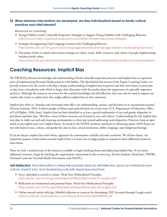#### <span id="page-17-0"></span>**22. When behavior interventions are developed, are they individualized based on family cultural practices and child interests?**

**Resources for coaching:**

- Young Children article: Culturally Responsive Strategies to Support Young Children with Challenging Behavior. <https://www.naeyc.org/resources/pubs/yc/nov2016/culturally-responsive-strategies>
- Strategies for supporting Dual Language Learners with Challenging Behavior. <https://eclkc.ohs.acf.hhs.gov/culture-language/article/dual-language-learners-challenging-behaviors>
- Discussion of how to match intervention strategies to values, needs, skills, resources, and culture of people implementing; includes family values <https://aspe.hhs.gov/reports/importance-contextual-fit-when-implementing-evidence-based-programs>

### **Coaching Resources: Implicit Bias**

The PW-BOQ references knowledge and understanding of both culturally responsive practices and implicit bias as important parts of implementing Pyramid Model practices with fidelity. The idea behind this section of the Equity Coaching Guide is to provide resources for the coach to develop a deeper understanding of implicit bias in general and their own biases in particular so they have a foundation with which to begin their discussion with the teacher about the importance of culturally responsive practices. Although the resources are meant for the coaches knowledge and self-reflection, they may also be used to support any teacher who wants to explore how they might address implicit bias in their classroom.

Implicit bias refers to "attitudes and stereotypes that affect our understanding, actions, and decisions in an unconscious manner" (Kirwan Institute, 2015). It drives people to behave and make decisions in certain ways (U.S. Department of Education, Office of Civil Rights. (2016, June). Implicit bias has been identified as at least a partial explanation of race and gender disparities in preschool expulsion data. Therefore, many of these resources are focused on race and culture. Understanding the role implicit bias may play in child care and early learning environments is a first step toward addressing racial disparities. However, keep an open mind as you explore your own implicit biases. As noted in the NAEYC position statement on advancing equity (2019) biases are not only based in race, culture, and gender but also in class, sexual orientation, ability, language, and indigenous heritage.

If you do discuss implicit bias with others, approach the conversation carefully and with sensitivity. We all have biases. An important purpose of discussions around implicit bias is to learn not to judge people or respond to them differently based on these biases.

These are only a small portion of the resources available to begin thinking about and addressing implicit bias. If you desire additional resources, begin by checking the organizations represented in this section (e.g., Kirwin Institute, Head Start, PWPBS, National Center for Pyramid Model Innovations, and NAEYC).

**Self-Reflection.** The information in these links provide ideas for self-reflection about an individuals own culture, implicit bias, and developing culturally responsive practices.

- Every individual is rooted in culture. Head Start Multicultural Principles. <https://eclkc.ohs.acf.hhs.gov/sites/default/files/pdf/principle-01-english.pdf>
- Reflections on institutional and personal biases. Head Start Multicultural Principles. <https://eclkc.ohs.acf.hhs.gov/sites/default/files/pdf/principle-09-english.pdf>
- Online journal article with tips: Mindful reflection as a process for developing CRP. Accessed through Google search. <http://currikicdn.s3.amazonaws.com/resourcedocs/55c33b939857b.pdf>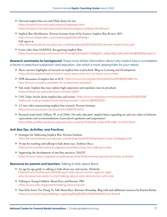- Harvard implicit bias test and FAQs about the test. <https://implicit.harvard.edu/implicit/takeatest.html> <https://implicit.harvard.edu/implicit/uk/background/faqs.html#faq14>
- Implicit Bias Mythbusters. Kirwan Institute State of the Science: Implicit Bias Review 2015. <http://www.livebinders.com/media/get/MTkxNTIxMjk=> Full report at <http://kirwaninstitute.osu.edu/wp-content/uploads/2015/05/2015-kirwan-implicit-bias.pdf>
- 6 min video from SAMHSA: Recognizing Implicit Bias. [https://www.youtube.com/watch?v=PJs1aByD2Ao&list=PLBXgZMI\\_zqfSphRqkJQKvaNZmKtaBOB25&index=5](https://www.youtube.com/watch?v=PJs1aByD2Ao&list=PLBXgZMI_zqfSphRqkJQKvaNZmKtaBOB25&index=5)

**Research summaries for background.** These have similar information about why implicit bias is considered a factor in preschool suspension and expulsion. Use which is most appropriate for your needs.

- Short, succinct highlights of research on implicit bias in preschool. Blog on Learning and Development. <https://bold.expert/implicit-bias-in-early-education-is-it-as-black-and-white/>
- ▶ NPR discussion of implicit bias in ECE. [https://www.npr.org/sections/ed/2016/09/28/495488716/](https://www.npr.org/sections/ed/2016/09/28/495488716/bias-isnt-just-a-police-problem-its-a-preschool) [bias-isnt-just-a-police-problem-its-a-preschool-problem](https://www.npr.org/sections/ed/2016/09/28/495488716/bias-isnt-just-a-police-problem-its-a-preschool)
- Yale study. Implicit bias may explain high suspension and expulsion rates in preschool. <https://medicine.yale.edu/news-article/13500/>
- ► USA Today Article about implicit bias and racism. [https://www.usatoday.com/story/opinion/2018/05/08/](https://www.usatoday.com/story/opinion/2018/05/08/starbucks-naacp-implicit-bias-training-racism-column/587402002/) [starbucks-naacp-implicit-bias-training-racism-column/587402002/](https://www.usatoday.com/story/opinion/2018/05/08/starbucks-naacp-implicit-bias-training-racism-column/587402002/)
- ▶ 2.5 min video summarizing implicit bias research. Kirwan Institute. <https://www.youtube.com/watch?v=KBZPHE1oPJo>
- Research study brief; Gilliam, W. et al (2016). Do early educators' implicit biases regarding sex and race relate to behavior expectations and recommendations of preschool expulsions and suspensions? <https://files-profile.medicine.yale.edu/documents/75afe6d2-e556-4794-bf8c-3cf105113b7c>

#### **Anti-Bias Tips, Activities, and Practices**

- Strategies for Addressing Implicit Bias. Kirwan Institute. <http://kirwaninstitute.osu.edu/wp-content/uploads/2015/06/implicit-bias-strategies.pdf>
- ▶ 10 tips for teaching and talking to kids about race. Embrace Race. <https://www.embracerace.org/resources/teaching-and-talking-to-kids>
- Supporting the development of anti-bias practices. NAEYC. <https://www.naeyc.org/resources/pubs/yc/mar2016/moving-beyond-anti-bias-activities>

#### **Resources for parents and teachers.** Talking to Kids about Race

- An age-by-age guide to talking to kids about race and racism. Motherly. [https://www.mother.ly/child/talking-to-kids-about-racism-age-by-age/](https://www.mother.ly/child/talking-to-kids-about-racism-age-by-age/why-its-never-too-early-to-start) [why-its-never-too-early-to-start-talking-about-race-and-racism-with-kids](https://www.mother.ly/child/talking-to-kids-about-racism-age-by-age/why-its-never-too-early-to-start)
- ▶ Talking to Young Children About Race and Racism. PBS. <https://www.pbs.org/parents/talking-about-racism>
- Your Kids Aren't Too Young To Talk About Race: Resource Roundup. Blog with and additional resources by Katrina Richie. <https://www.prettygooddesign.org/blog/Blog%20Post%20Title%20One-5new4>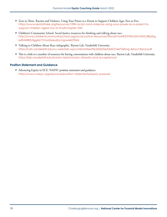- Zero to Three. Racism and Violence: Using Your Power as a Parent to Support Children Ages Two to Five. [https://www.zerotothree.org/resources/1598-racism-and-violence-using-your-power-as-a-parent-to](https://www.zerotothree.org/resources/1598-racism-and-violence-using-your-power-as-a-parent-to-suppo)[support-children-aged-two-to-five#chapter-1041](https://www.zerotothree.org/resources/1598-racism-and-violence-using-your-power-as-a-parent-to-suppo)
- Children's Community School. Social Justice resources for thinking and talking about race. [http://www.childrenscommunityschool.org/social-justice-resources/?fbclid=IwAR37PWDJSNV3HiG5Rp9sg](http://www.childrenscommunityschool.org/social-justice-resources/?fbclid=IwAR37PWDJSNV3HiG5Rp9sgezRA) [ezRAW80UtggMrCfntubK6euibscUgsw4607fAQ](http://www.childrenscommunityschool.org/social-justice-resources/?fbclid=IwAR37PWDJSNV3HiG5Rp9sgezRA)
- Talking to Children About Race infographic. Barton Lab, Vanderbilt University. <https://cdn.vanderbilt.edu/vu-web/lab-wpcontent/sites/96/2020/06/04222144/Talking-About-Race.pdf>
- This is a link to a number of resources for having conversations with children about race. Barton Lab, Vanderbilt University. <https://lab.vanderbilt.edu/barton-lab/inclusion-diversity-and-acceptance/>

#### **Position Statement and Guidance**

 Advancing Equity in ECE. NAEYC position statement and guidance. <https://www.naeyc.org/resources/position-statements/equity-purpose>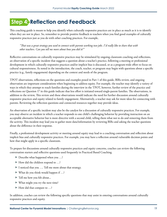# <span id="page-20-0"></span> **Step 4: Reflection and Feedback**

This coaching guide is meant to help you identify when culturally responsive practices are in place as much as it is to identify when they are not in place. So, remember to provide positive feedback to teachers when you find good examples of culturally responsive practices just as you do with other coaching practices. For example,

*"That was a great strategy you used to connect with parents working two jobs. I'd really like to share that with other teachers. Can you tell me more about how you did it?"*

Reflective conversations on culturally responsive practices may be stimulated by ongoing classroom coaching and reflections, an observation of a specific incident that suggests a question about a teacher's practice, following a meeting or professional development in which culturally responsive practices and/or implicit bias is discussed, or as a program-wide effort to focus on cultural responsiveness. As noted in the introduction, the coach, teacher, or program may begin with questions about a specific practice (e.g., family engagement) depending on the context and needs of the program.

TPOT observations, reflections on the questions and examples posed in Part 1 of this guide, BIRs review, and ongoing observation are important considerations when beginning to address equity. For example, the teacher may identify a variety of ways in which they attempt to reach families during the interview in the TPOT, however, further review of the practice and reflections on Question 17 in this guide indicate that less effort is initiated toward single-parent families. The observations, in addition to the review, This review and these observations would indicate the need for further discussion around culturally responsive practices and equity related to family engagement. Alternatively, a teacher may ask for more ideas for connecting with parents. Reviewing the reflection questions and connected resources together may provide ideas.

An observation of a specific incident may also be the catalyst for a discussion of culturally responsive practices. For example, you may observe an incident in which a teacher responds to one child's challenging behavior by providing instruction on an acceptable alternative behavior but is more directive with a second child, telling them what not to do and removing them from the activity. This incident may lead you to gather more data/information by reviewing BIRs and asking the teacher questions about the difference in their response.

Finally, a professional development activity or meeting around equity may lead to a coaching conversation and reflection about implicit bias and culturally responsive practices. For example, you may have a reflection around vulnerable decision points and how that might apply in a specific classroom.

To prepare for discussions around culturally responsive practices and equity concerns, coaches can review the following conversation starters and reflective questions used frequently in Practiced Based Coaching.

- ▶ Describe what happened when you ...?
- ▶ How did the children respond to ...?
- ▶ I noticed that you .... Tell me more about that strategy.
- What do you think would happen if …?
- Tell me how you felt about...
- What might you try the next time?
- ▶ How did that compare to ...?

In addition, coaches can review the following specific questions that may assist in entering conversations around culturally responsive practices and equity.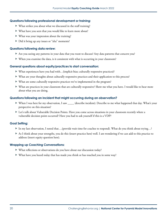#### **Questions following professional development or training:**

- What strikes you about what we discussed in the staff training?
- What have you seen that you would like to learn more about?
- What was your impression about the training?
- ▶ Did it bring up any issues or "aha" moments?

#### **Questions following data review:**

- Are you seeing any patterns in your data that you want to discuss? Any data patterns that concern you?
- When you examine the data, is it consistent with what is occurring in your classroom?

#### **General questions about equity/practices to start conversation:**

- ► What experiences have you had with…(implicit bias; culturally responsive practices)?
- What are your thoughts about culturally responsive practices and their application to this process?
- What are some culturally responsive practices we've implemented in the program?
- What are practices in your classroom that are culturally responsive? Show me what you have. I would like to hear more about what you are doing.

#### **Questions following an incident that might occurring during an observation?**

- When I was here for my observation, I saw \_\_\_\_ (describe incident). Describe to me what happened that day. What's your perspective on this situation?
- Let's talk about Vulnerable Decision Points. Have you come across situations in your classroom recently where a vulnerable decision point occurred? Have you had to ask yourself if this is a VDP?

#### **Goal Setting:**

- In my last observation, I noted that….(provide wait time for coachee to respond). What do you think about trying…?
- As I think about your strengths, you do this (insert practice here) well. I am wondering if we can add to this practice to address (insert equity question here).

#### **Wrapping up Coaching Conversations:**

- What reflections or observations do you have about our discussion today?
- What have you heard today that has made you think or has touched you in some way?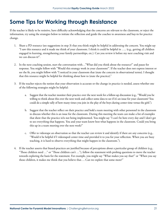## <span id="page-22-0"></span>**Some Tips for Working through Resistance**

If the teacher is likely to be resistive, have difficulty acknowledging that the concerns are relevant to the classroom, or reject the information, try using the strategies below to initiate the reflection and guide the coachee to awareness and buy-in for practice change.

- 1. Share a PD resource (see suggestions in step 3) that you think might be helpful in addressing the concern. You might say "I saw this resource and it made me think of your classroom. I think it could be helpful in ….. (e.g., getting all children engaged in learning, strengthening your family partnerships, etc.). Can you review it before my next coaching visit and we can discuss it?".
- 2. In the next coaching session, start the conversation with…"What did you think about the resource?" and pause for response. You might follow with "Would this strategy work in your classroom/". If the teacher does not express interest or see the fit, you might follow with "I noticed in your classroom that (state the concern in observational terms). I thought that this resource might be helpful for thinking about how to (state the practice)."
- 3. If the teacher rejects the notion that your observation is accurate or the change in practice is needed, assess whether one of the following strategies might be helpful:
	- a. Suggest that the teacher monitor their practice over the next week for a follow-up discussion (e.g., "Would you be willing to think about this over the next week and collect some data to see if it's an issue for your classroom? You could do a simple tally of how many times you join in the play of the boys during center time versus the girls").
	- b. Suggest that the teacher reflect on their practice and hold a team meeting with other personnel in the classroom to discuss whether this is an issue for the classroom. During this meeting the team can make a list of examples that show that the practice is/is not being implemented. You might say "I can't be here every day and I don't get to see everything that happens. You and your team know best what happens in the classroom. Could you bring this up in a team meeting over the next week?"
	- c. Offer to videotape an observation so that the teacher can review it and identify if there are any concerns (e.g., "Would it be helpful if I videotaped center time and provided it to you for your reflection. When you are busy teaching, it is hard to observe everything that might happen in the classroom.").
- 4. If the teacher asserts that biased-practices are justified because of perceptions about a particular group of children (e.g., "Those children need …" or "Those children can't …"), follow the statement with probing questions to move the teacher towards exploring the basis for the statement. For example, you might say "What makes you say that?" or "When you say those children, it makes me think that you believe that…. Can we explore that some more?"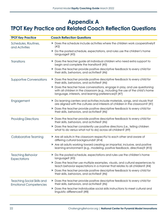### <span id="page-23-0"></span>**Appendix A TPOT Key Practice and Related Coach Reflection Questions**

| <b>TPOT Key Practice</b>                                           | <b>Coach Reflection Questions</b>                                                                                                                                                                                   |
|--------------------------------------------------------------------|---------------------------------------------------------------------------------------------------------------------------------------------------------------------------------------------------------------------|
| Schedules, Routines,<br>and Activities                             | $\triangleright$ Does the schedule include activities where the children work cooperatively?<br>(#2)                                                                                                                |
|                                                                    | Do the posted schedule, expectations, and rules use the children's home<br>language? (#3)                                                                                                                           |
| <b>Transitions</b>                                                 | Does the teacher guide all individual children who need extra support to<br>begin and complete the transition? (#5)                                                                                                 |
|                                                                    | Does the teacher provide positive descriptive feedback to every child for<br>their skills, behaviors, and activities? (#6)                                                                                          |
| <b>Supportive Conversations</b>                                    | Does the teacher provide positive descriptive feedback to every child for<br>their skills, behaviors, and activities? (#6)                                                                                          |
|                                                                    | Does the teacher have conversations, engage in play, and use questioning<br>with all children in the classroom (e.g., including the use of the child's home<br>language, interests, and learning preferences)? (#7) |
| Engagement                                                         | Do learning centers and activities include materials, songs, and visuals that<br>are aligned with the cultures and interests of children in the classroom? (#1)                                                     |
|                                                                    | Does the teacher provide positive descriptive feedback to every child for<br>▶<br>their skills, behaviors, and activities? (#6)                                                                                     |
| <b>Providing Directions</b>                                        | Does the teacher provide positive descriptive feedback to every child for<br>their skills, behaviors, and activities? (#6)                                                                                          |
|                                                                    | Does the teacher consistently use positive directions (i.e., telling children<br>what to do versus what not to do) across all children? (#9)                                                                        |
| <b>Collaborative Teaming</b>                                       | Are all adults in the classroom respectful to each other and aware of<br>differing cultural backgrounds? (#14)                                                                                                      |
|                                                                    | Are all adults working toward creating an impartial, inclusive, and positive<br>▶<br>learning environment (e.g., modeling, positive feedback, directives)? (#15)                                                    |
| <b>Teaching Behavior</b><br><b>Expectations</b>                    | Do the posted schedule, expectations and rules use the children's home<br>language? (#3)                                                                                                                            |
|                                                                    | Does the teacher use multiple examples, visuals, and cultural experiences to<br>teach behavior expectations in a manner that relates to all children? (#4)                                                          |
|                                                                    | Does the teacher provide positive descriptive feedback to every child for<br>their skills, behaviors, and activities? (#6)                                                                                          |
| <b>Teaching Social Skills and</b><br><b>Emotional Competencies</b> | Does the teacher provide positive descriptive feedback to every child for<br>their skills, behaviors, and activities? (#6)                                                                                          |
|                                                                    | Does the teacher individualize social skills instructions to meet cultural and<br>linguistic differences? (#8)                                                                                                      |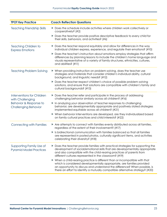| <b>TPOT Key Practice</b>                                   | <b>Coach Reflection Questions</b>                                                                                                                                                                                                                                                                                    |
|------------------------------------------------------------|----------------------------------------------------------------------------------------------------------------------------------------------------------------------------------------------------------------------------------------------------------------------------------------------------------------------|
| <b>Teaching Friendship Skills</b>                          | Does the schedule include activities where children work collectively or<br>cooperatively? (#2)                                                                                                                                                                                                                      |
|                                                            | Does the teacher provide positive descriptive feedback to every child for<br>their skills, behaviors, and activities? (#6)                                                                                                                                                                                           |
| Teaching Children to<br><b>Express Emotions</b>            | ▶ Does the teacher respond equitably and allow for differences in the way<br>individual children express, experience, and regulate their emotions? (#10)                                                                                                                                                             |
|                                                            | Does the teacher's instruction about emotions employ strategies that affirm<br>differences by planning lessons to include the children's home language and<br>visuals representative of a variety of family structures, ethnicities, cultures,<br>and abilities? (#11)                                               |
| <b>Teaching Problem Solving</b>                            | ▶ When providing instruction on problem-solving, does the teacher use<br>strategies and materials that consider children's individual ability, cultural<br>background, and linguistic needs? (#12)                                                                                                                   |
|                                                            | Does the teacher respect children's choice of possible problem-solving<br>solutions, and ensure that solutions are compatible with children's family and<br>cultural backgrounds? (#13)                                                                                                                              |
| <b>Interventions for Children</b><br>with Challenging      | Does the teacher refer and participate in the process of addressing<br>challenging behavior similarly across all children? (#16)                                                                                                                                                                                     |
| Behavior & Response to<br><b>Challenging Behavior</b>      | In analyzing your observation of teacher responses to challenging<br>behavior, are developmentally appropriate and positively stated strategies<br>implemented equitable across all children? (#21)                                                                                                                  |
|                                                            | ▶ When behavior interventions are developed, are they individualized based<br>on family cultural practices and child interests? (#22)                                                                                                                                                                                |
| <b>Connecting with Families</b>                            | Are attempts to connect with families evenly distributed across all families,<br>regardless of the extent of their involvement? (#17)                                                                                                                                                                                |
|                                                            | Is bidirectional communication with families balanced so that all families<br>are represented in posted photos, culturally significant items, and activities<br>celebrating their diversity? (#18)                                                                                                                   |
| Supporting Family Use of<br><b>Pyramid Model Practices</b> | Does the teacher provide families with practical strategies for supporting the<br>development of social/emotional skills that are developmentally appropriate<br>and also compatible with the child-rearing practices of parents from<br>different cultures represented in the classroom? (#19)                      |
|                                                            | ▶ When a child-rearing practice is different than or incompatible with that<br>which is considered developmentally appropriate, are families provided<br>an opportunity to discuss and understand the difference? When possible, is<br>there an effort to identify a mutually compatible alternative strategy? (#20) |